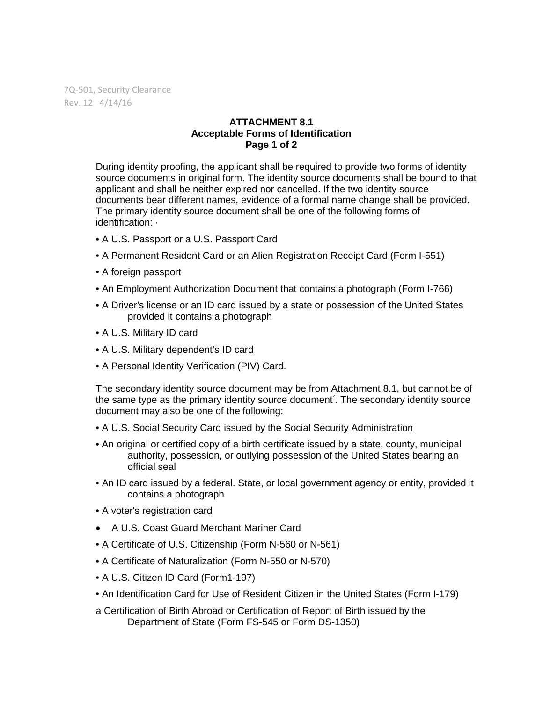7Q-501, Security Clearance Rev. 12 4/14/16

## **ATTACHMENT 8.1 Acceptable Forms of Identification Page 1 of 2**

During identity proofing, the applicant shall be required to provide two forms of identity source documents in original form. The identity source documents shall be bound to that applicant and shall be neither expired nor cancelled. If the two identity source documents bear different names, evidence of a formal name change shall be provided. The primary identity source document shall be one of the following forms of identification: ·

- A U.S. Passport or a U.S. Passport Card
- A Permanent Resident Card or an Alien Registration Receipt Card (Form I-551)
- A foreign passport
- An Employment Authorization Document that contains a photograph (Form I-766)
- A Driver's license or an ID card issued by a state or possession of the United States provided it contains a photograph
- A U.S. Military ID card
- A U.S. Military dependent's ID card
- A Personal Identity Verification (PIV) Card.

The secondary identity source document may be from Attachment 8.1, but cannot be of the same type as the primary identity source document<sup>2</sup>. The secondary identity source document may also be one of the following:

- A U.S. Social Security Card issued by the Social Security Administration
- An original or certified copy of a birth certificate issued by a state, county, municipal authority, possession, or outlying possession of the United States bearing an official seal
- An ID card issued by a federal. State, or local government agency or entity, provided it contains a photograph
- A voter's registration card
- A U.S. Coast Guard Merchant Mariner Card
- A Certificate of U.S. Citizenship (Form N-560 or N-561)
- A Certificate of Naturalization (Form N-550 or N-570)
- A U.S. Citizen lD Card (Form1·197)
- An Identification Card for Use of Resident Citizen in the United States (Form I-179)
- a Certification of Birth Abroad or Certification of Report of Birth issued by the Department of State (Form FS-545 or Form DS-1350)